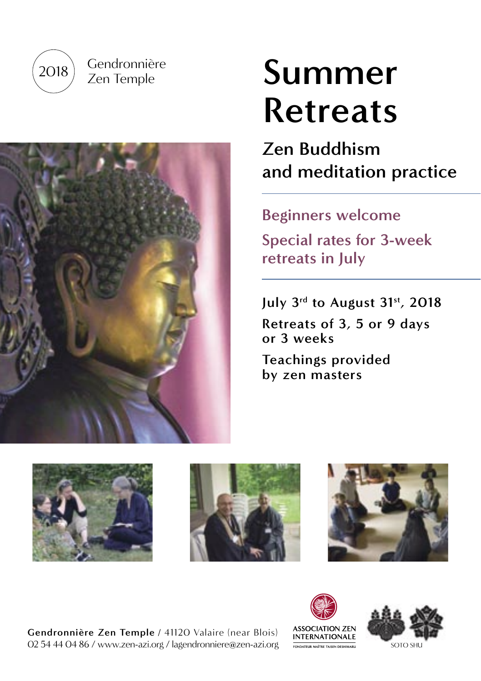

Gendronnière Zen Temple



# **Summer Retreats**

# **Zen Buddhism and meditation practice**

# **Beginners welcome**

**Special rates for 3-week retreats in July**

**July 3rd to August 31st, 2018 Retreats of 3, 5 or 9 days or 3 weeks**

**Teachings provided by zen masters**



**Gendronnière Zen Temple** / 41120 Valaire (near Blois) 02 54 44 04 86 / www.zen-azi.org / lagendronniere@zen-azi.org



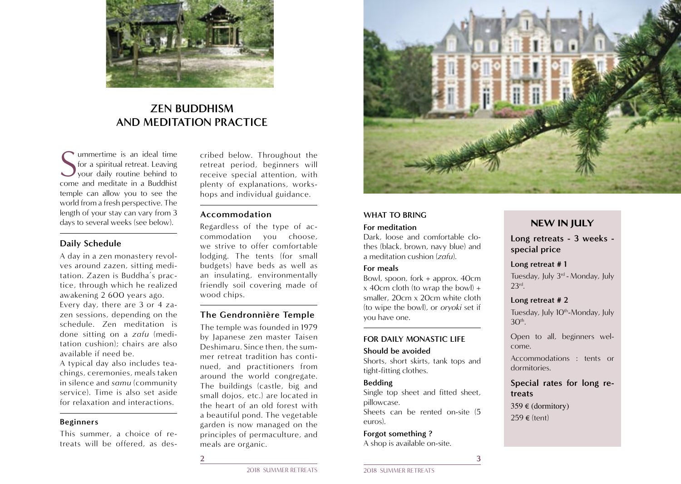

# **ZEN BUDDHISM AND MEDITATION PRACTICE**

Summertime is an ideal time<br>
S for a spiritual retreat. Leaving<br>
your daily routine behind to<br>
come and meditate in a Buddhist ummertime is an ideal time for a spiritual retreat. Leaving your daily routine behind to temple can allow you to see the world from a fresh perspective. The length of your stay can vary from 3 days to several weeks (see below).

### **Daily Schedule**

A day in a zen monastery revolves around zazen, sitting meditation. Zazen is Buddha's practice, through which he realized awakening 2 600 years ago. Every day, there are 3 or 4 zazen sessions, depending on the schedule. Zen meditation is done sitting on a *zafu* (meditation cushion); chairs are also available if need be.

A typical day also includes teachings, ceremonies, meals taken in silence and *samu* (community service). Time is also set aside for relaxation and interactions.

#### **Beginners**

This summer, a choice of retreats will be offered, as des-

cribed below. Throughout the retreat period, beginners will receive special attention, with plenty of explanations, workshops and individual guidance.

## **Accommodation**

Regardless of the type of accommodation you choose, we strive to offer comfortable lodging. The tents (for small budgets) have beds as well as an insulating, environmentally friendly soil covering made of wood chips.

#### **The Gendronnière Temple**

The temple was founded in 1979 by Japanese zen master Taisen Deshimaru. Since then, the summer retreat tradition has continued, and practitioners from around the world congregate. The buildings (castle, big and small dojos, etc.) are located in the heart of an old forest with a beautiful pond. The vegetable garden is now managed on the principles of permaculture, and meals are organic.



#### **WHAT TO BRING**

#### **For meditation**

Dark, loose and comfortable clothes (black, brown, navy blue) and a meditation cushion (*zafu*).

#### **For meals**

Bowl, spoon, fork + approx. 40cm  $x$  40cm cloth (to wrap the bowl) + smaller, 20cm x 20cm white cloth (to wipe the bowl), or *oryoki* set if you have one.

#### **FOR DAILY MONASTIC LIFE**

#### **Should be avoided**

Shorts, short skirts, tank tops and tight-fitting clothes.

#### **Bedding**

Single top sheet and fitted sheet, pillowcase.

Sheets can be rented on-site (5 euros).

**Forgot something ?**  A shop is available on-site.

## NEW IN JULY

**Long retreats - 3 weeks special price**

#### **Long retreat # 1**

Tuesday, July 3rd - Monday, July 23rd.

#### **Long retreat # 2**

Tuesday, July 10<sup>th</sup>-Monday, July  $30<sup>th</sup>$ .

Open to all, beginners welcome.

Accommodations : tents or dormitories.

## **Special rates for long retreats**

359 € (dormitory) 259 € (tent)

**2 3**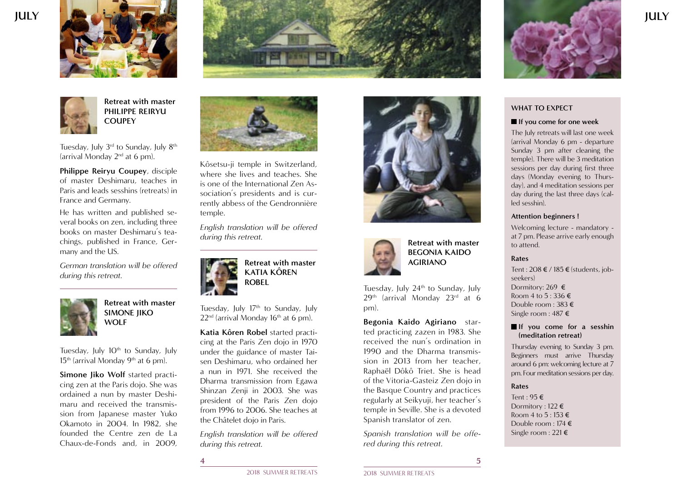





**Retreat with master PHILIPPE REIRYU COUPEY**

Tuesday, July  $3<sup>rd</sup>$  to Sunday, July  $8<sup>th</sup>$ (arrival Monday  $2<sup>nd</sup>$  at 6 pm).

**Philippe Reiryu Coupey**, disciple of master Deshimaru, teaches in Paris and leads sesshins (retreats) in France and Germany.

He has written and published several books on zen, including three books on master Deshimaru's teachings, published in France, Germany and the US.

*German translation will be offered during this retreat.*



**Retreat with master SIMONE JIKO WOLF**

Tuesday, July 10<sup>th</sup> to Sunday, July  $15<sup>th</sup>$  (arrival Monday 9<sup>th</sup> at 6 pm).

**Simone Jiko Wolf** started practicing zen at the Paris dojo. She was ordained a nun by master Deshimaru and received the transmission from Japanese master Yuko Okamoto in 2004. In 1982, she founded the Centre zen de La Chaux-de-Fonds and, in 2009,



Kôsetsu-ji temple in Switzerland, where she lives and teaches. She is one of the International Zen Association's presidents and is currently abbess of the Gendronnière temple.

*English translation will be offered during this retreat.*



Tuesday, July 17<sup>th</sup> to Sunday, July  $22<sup>nd</sup>$  (arrival Monday 16<sup>th</sup> at 6 pm).

**Katia Kôren Robel** started practicing at the Paris Zen dojo in 1970 under the guidance of master Taisen Deshimaru, who ordained her a nun in 1971. She received the Dharma transmission from Egawa Shinzan Zenji in 2003. She was president of the Paris Zen dojo from 1996 to 2006. She teaches at the Châtelet dojo in Paris.

*English translation will be offered during this retreat.*

**4 5**







**Retreat with master BEGONIA KAIDO AGIRIANO**

Tuesday, July 24<sup>th</sup> to Sunday, July 29th (arrival Monday 23rd at 6 pm).

**Begonia Kaido Agiriano** started practicing zazen in 1983. She received the nun's ordination in 1990 and the Dharma transmission in 2013 from her teacher, Raphaël Dôkô Triet. She is head of the Vitoria-Gasteiz Zen dojo in the Basque Country and practices regularly at Seikyuji, her teacher's temple in Seville. She is a devoted Spanish translator of zen.

*Spanish translation will be offered during this retreat.*

**WHAT TO EXPECT**

#### **If you come for one week**

The July retreats will last one week (arrival Monday 6 pm - departure Sunday 3 pm after cleaning the temple). There will be 3 meditation sessions per day during first three days (Monday evening to Thursday), and 4 meditation sessions per day during the last three days (called sesshin).

#### **Attention beginners !**

Welcoming lecture - mandatory at 7 pm. Please arrive early enough to attend.

#### **Rates**

Tent : 208 € / 185 € (students, jobseekers) Dormitory: 269 € Room 4 to  $5:336 \in$ Double room : 383 € Single room : 487 €

#### **If** you come for a sesshin **(meditation retreat)**

Thursday evening to Sunday 3 pm. Beginners must arrive Thursday around 6 pm: welcoming lecture at 7 pm. Four meditation sessions per day.

#### **Rates**

Tent : 95 € Dormitory : 122 € Room 4 to  $5:153 \in$ Double room : 174 € Single room : 221 €

**JULY**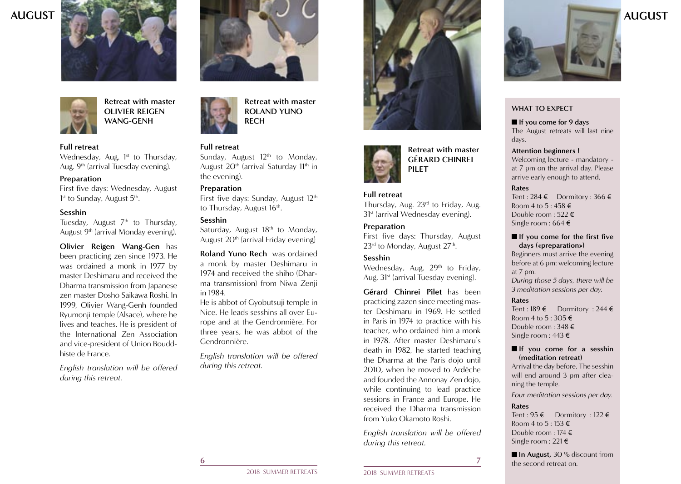



**Retreat with master OLIVIER REIGEN WANG-GENH**

#### **Full retreat**

Wednesday, Aug. 1<sup>st</sup> to Thursday, Aug. 9<sup>th</sup> (arrival Tuesday evening).

#### **Preparation**

First five days: Wednesday, August 1<sup>st</sup> to Sunday, August 5<sup>th</sup>.

#### **Sesshin**

Tuesday, August  $7<sup>th</sup>$  to Thursday, August 9<sup>th</sup> (arrival Monday evening).

**Olivier Reigen Wang-Gen** has been practicing zen since 1973. He was ordained a monk in 1977 by master Deshimaru and received the Dharma transmission from Japanese zen master Dosho Saikawa Roshi. In 1999, Olivier Wang-Genh founded Ryumonji temple (Alsace), where he lives and teaches. He is president of the International Zen Association and vice-president of Union Bouddhiste de France.

*English translation will be offered during this retreat.*



**Retreat with master ROLAND YUNO RECH**

#### **Full retreat**

Sunday, August 12<sup>th</sup> to Monday, August  $20<sup>th</sup>$  (arrival Saturday  $11<sup>th</sup>$  in the evening).

#### **Preparation**

First five days: Sunday, August 12<sup>th</sup> to Thursday, August 16<sup>th</sup>.

#### **Sesshin**

Saturday, August 18<sup>th</sup> to Monday, August 20th (arrival Friday evening)

**Roland Yuno Rech** was ordained a monk by master Deshimaru in 1974 and received the shiho (Dharma transmission) from Niwa Zenji in 1984.

He is abbot of Gyobutsuji temple in Nice. He leads sesshins all over Europe and at the Gendronnière. For three years, he was abbot of the Gendronnière.

*English translation will be offered during this retreat.*



**Retreat with master GÉRARD CHINREI PILET**

#### **Full retreat**

Thursday, Aug. 23<sup>rd</sup> to Friday, Aug. 31<sup>st</sup> (arrival Wednesday evening).

#### **Preparation**

First five days: Thursday, August 23<sup>rd</sup> to Monday, August 27<sup>th</sup>.

#### **Sesshin**

Wednesday, Aug. 29<sup>th</sup> to Friday, Aug. 31<sup>st</sup> (arrival Tuesday evening).

**Gérard Chinrei Pilet** has been practicing zazen since meeting master Deshimaru in 1969. He settled in Paris in 1974 to practice with his teacher, who ordained him a monk in 1978. After master Deshimaru's death in 1982, he started teaching the Dharma at the Paris dojo until 2010, when he moved to Ardèche and founded the Annonay Zen dojo, while continuing to lead practice sessions in France and Europe. He received the Dharma transmission from Yuko Okamoto Roshi.

*English translation will be offered during this retreat.*



#### **WHAT TO EXPECT**

**If you come for 9 days** The August retreats will last nine days.

## **Attention beginners !**

Welcoming lecture - mandatory at 7 pm on the arrival day. Please arrive early enough to attend.

#### **Rates**

Tent : 284 € Dormitory : 366 € Room 4 to  $5:458 \in$ Double room : 522 € Single room : 664 €

#### $\blacksquare$  If you come for the first five **days («preparation»)**

Beginners must arrive the evening before at 6 pm: welcoming lecture at 7 pm. *During those 5 days, there will be 3 meditation sessions per day.* 

#### **Rates**

Tent : 189 € Dormitory : 244 € Room 4 to  $5:305 \in$ Double room : 348 € Single room : 443 €

#### **If you come for a sesshin (meditation retreat)**

Arrival the day before. The sesshin will end around 3 pm after cleaning the temple.

*Four meditation sessions per day.*

#### **Rates**

Tent : 95 € Dormitory : 122 € Room 4 to 5 : 153 € Double room : 174 € Single room : 221 €

**In August,** 30 % discount from the second retreat on.

2018 SUMMER RETREATS 2018 SUMMER RETREATS